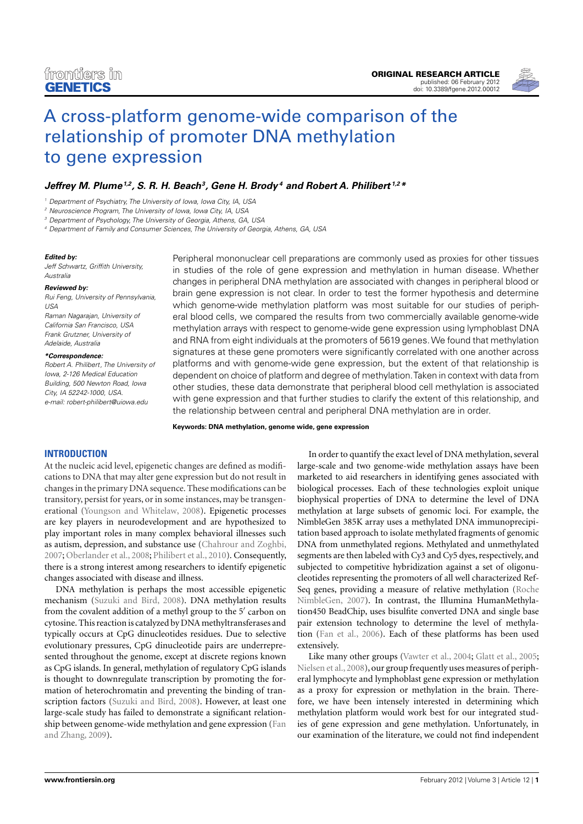

# [A cross-platform genome-wide comparison of the](http://www.frontiersin.org/Epigenomics/10.3389/fgene.2012.00012/abstract) relationship of promoter DNA methylation to gene expression

# *[Jeffrey M. Plume1](http://www.frontiersin.org/Community/WhosWhoDetails.aspx?UID=42594&d=1&sname=JeffreyPlume&name=Science),2, [S. R. H. Beach3](http://www.frontiersin.org/Community/WhosWhoDetails.aspx?UID=34832&d=1&sname=StevenBeach&name=Science), [Gene H. Brody](http://www.frontiersin.org/Community/WhosWhoDetails.aspx?UID=42878&d=1&sname=GeneBrody&name=Science) <sup>4</sup> and [Robert A. Philibert](http://www.frontiersin.org/Community/WhosWhoDetails.aspx?UID=12892&d=0&sname=RobertPhilibert&name=all people) 1,2\**

<sup>1</sup> Department of Psychiatry, The University of Iowa, Iowa City, IA, USA

<sup>2</sup> Neuroscience Program, The University of Iowa, Iowa City, IA, USA

<sup>3</sup> Department of Psychology, The University of Georgia, Athens, GA, USA

<sup>4</sup> Department of Family and Consumer Sciences, The University of Georgia, Athens, GA, USA

#### *Edited by:*

Jeff Schwartz, Griffith University, Australia

#### *Reviewed by:*

Rui Feng, University of Pennsylvania, USA Raman Nagarajan, University of California San Francisco, USA Frank Grutzner, University of Adelaide, Australia

#### *\*Correspondence:*

Robert A. Philibert, The University of Iowa, 2-126 Medical Education Building, 500 Newton Road, Iowa City, IA 52242-1000, USA. e-mail: [robert-philibert@uiowa.edu](mailto:robert-philibert@uiowa.edu)

Peripheral mononuclear cell preparations are commonly used as proxies for other tissues in studies of the role of gene expression and methylation in human disease. Whether changes in peripheral DNA methylation are associated with changes in peripheral blood or brain gene expression is not clear. In order to test the former hypothesis and determine which genome-wide methylation platform was most suitable for our studies of peripheral blood cells, we compared the results from two commercially available genome-wide methylation arrays with respect to genome-wide gene expression using lymphoblast DNA and RNA from eight individuals at the promoters of 5619 genes.We found that methylation signatures at these gene promoters were significantly correlated with one another across platforms and with genome-wide gene expression, but the extent of that relationship is dependent on choice of platform and degree of methylation.Taken in context with data from other studies, these data demonstrate that peripheral blood cell methylation is associated with gene expression and that further studies to clarify the extent of this relationship, and the relationship between central and peripheral DNA methylation are in order.

**Keywords: DNA methylation, genome wide, gene expression**

## **INTRODUCTION**

At the nucleic acid level, epigenetic changes are defined as modifications to DNA that may alter gene expression but do not result in changes in the primary DNA sequence. These modifications can be transitory, persist for years, or in some instances, may be transgenerational [\(Youngson and Whitelaw](#page-6-0), [2008](#page-6-0)). Epigenetic processes are key players in neurodevelopment and are hypothesized to play important roles in many complex behavioral illnesses such as autism, depression, and substance use [\(Chahrour and Zoghbi,](#page-5-0) [2007;](#page-5-0) [Oberlander et al.](#page-6-0), [2008](#page-6-0); [Philibert et al., 2010\)](#page-6-0). Consequently, there is a strong interest among researchers to identify epigenetic changes associated with disease and illness.

DNA methylation is perhaps the most accessible epigenetic mechanism [\(Suzuki and Bird](#page-6-0), [2008\)](#page-6-0). DNA methylation results from the covalent addition of a methyl group to the 5' carbon on cytosine. This reaction is catalyzed by DNA methyltransferases and typically occurs at CpG dinucleotides residues. Due to selective evolutionary pressures, CpG dinucleotide pairs are underrepresented throughout the genome, except at discrete regions known as CpG islands. In general, methylation of regulatory CpG islands is thought to downregulate transcription by promoting the formation of heterochromatin and preventing the binding of transcription factors [\(Suzuki and Bird](#page-6-0), [2008](#page-6-0)). However, at least one large-scale study has failed to demonstrate a significant relationship betwe[en genome-wide methylation and gene expression \(](#page-5-0)Fan and Zhang, [2009\)](#page-5-0).

In order to quantify the exact level of DNA methylation, several large-scale and two genome-wide methylation assays have been marketed to aid researchers in identifying genes associated with biological processes. Each of these technologies exploit unique biophysical properties of DNA to determine the level of DNA methylation at large subsets of genomic loci. For example, the NimbleGen 385K array uses a methylated DNA immunoprecipitation based approach to isolate methylated fragments of genomic DNA from unmethylated regions. Methylated and unmethylated segments are then labeled with Cy3 and Cy5 dyes, respectively, and subjected to competitive hybridization against a set of oligonucleotides representing the promoters of all well characterized Ref-Seq genes, providing a measure of relative methylation (Roche NimbleGen, [2007](#page-6-0)). In contrast, the Illumina HumanMethylation450 BeadChip, uses bisulfite converted DNA and single base pair extension technology to determine the level of methylation [\(Fan et al.](#page-5-0), [2006](#page-5-0)). Each of these platforms has been used extensively.

Like many other groups [\(Vawter et al.](#page-6-0), [2004;](#page-6-0) [Glatt et al.](#page-5-0), [2005;](#page-5-0) [Nielsen et al.](#page-6-0), [2008\)](#page-6-0), our group frequently uses measures of peripheral lymphocyte and lymphoblast gene expression or methylation as a proxy for expression or methylation in the brain. Therefore, we have been intensely interested in determining which methylation platform would work best for our integrated studies of gene expression and gene methylation. Unfortunately, in our examination of the literature, we could not find independent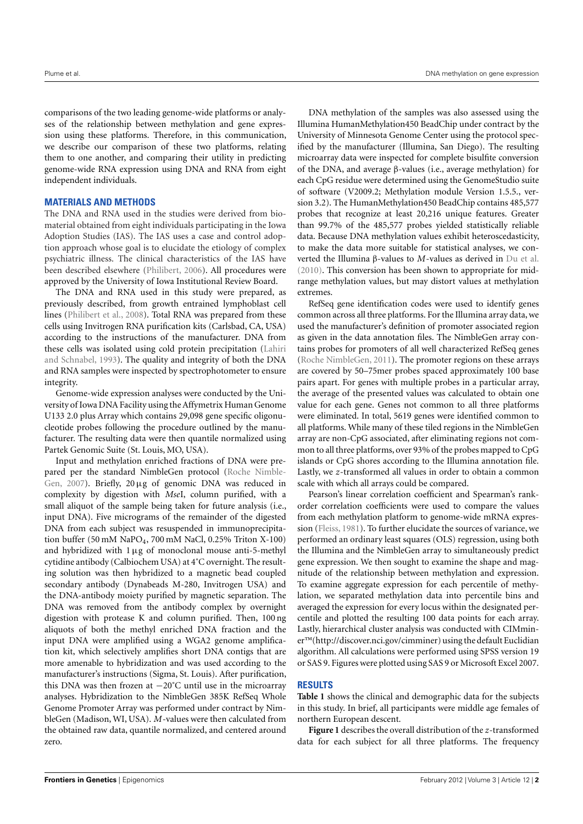comparisons of the two leading genome-wide platforms or analyses of the relationship between methylation and gene expression using these platforms. Therefore, in this communication, we describe our comparison of these two platforms, relating them to one another, and comparing their utility in predicting genome-wide RNA expression using DNA and RNA from eight independent individuals.

## **MATERIALS AND METHODS**

The DNA and RNA used in the studies were derived from biomaterial obtained from eight individuals participating in the Iowa Adoption Studies (IAS). The IAS uses a case and control adoption approach whose goal is to elucidate the etiology of complex psychiatric illness. The clinical characteristics of the IAS have been described elsewhere [\(Philibert, 2006](#page-6-0)). All procedures were approved by the University of Iowa Institutional Review Board.

The DNA and RNA used in this study were prepared, as previously described, from growth entrained lymphoblast cell lines [\(Philibert et al.](#page-6-0), [2008](#page-6-0)). Total RNA was prepared from these cells using Invitrogen RNA purification kits (Carlsbad, CA, USA) according to the instructions of the manufacturer. DNA from these cells w[as isolated using cold protein precipitation \(](#page-6-0)Lahiri and Schnabel, [1993](#page-6-0)). The quality and integrity of both the DNA and RNA samples were inspected by spectrophotometer to ensure integrity.

Genome-wide expression analyses were conducted by the University of Iowa DNA Facility using the Affymetrix Human Genome U133 2.0 plus Array which contains 29,098 gene specific oligonucleotide probes following the procedure outlined by the manufacturer. The resulting data were then quantile normalized using Partek Genomic Suite (St. Louis, MO, USA).

Input and methylation enriched fractions of DNA were prepar[ed per the standard NimbleGen protocol \(](#page-6-0)Roche Nimble-Gen, [2007](#page-6-0)). Briefly, 20μg of genomic DNA was reduced in complexity by digestion with *Mse*I, column purified, with a small aliquot of the sample being taken for future analysis (i.e., input DNA). Five micrograms of the remainder of the digested DNA from each subject was resuspended in immunoprecipitation buffer (50 mM NaPO<sub>4</sub>, 700 mM NaCl, 0.25% Triton X-100) and hybridized with  $1 \mu$ g of monoclonal mouse anti-5-methyl cytidine antibody (Calbiochem USA) at 4˚C overnight. The resulting solution was then hybridized to a magnetic bead coupled secondary antibody (Dynabeads M-280, Invitrogen USA) and the DNA-antibody moiety purified by magnetic separation. The DNA was removed from the antibody complex by overnight digestion with protease K and column purified. Then, 100 ng aliquots of both the methyl enriched DNA fraction and the input DNA were amplified using a WGA2 genome amplification kit, which selectively amplifies short DNA contigs that are more amenable to hybridization and was used according to the manufacturer's instructions (Sigma, St. Louis). After purification, this DNA was then frozen at −20˚C until use in the microarray analyses. Hybridization to the NimbleGen 385K RefSeq Whole Genome Promoter Array was performed under contract by NimbleGen (Madison, WI, USA). *M*-values were then calculated from the obtained raw data, quantile normalized, and centered around zero.

DNA methylation of the samples was also assessed using the Illumina HumanMethylation450 BeadChip under contract by the University of Minnesota Genome Center using the protocol specified by the manufacturer (Illumina, San Diego). The resulting microarray data were inspected for complete bisulfite conversion of the DNA, and average β-values (i.e., average methylation) for each CpG residue were determined using the GenomeStudio suite of software (V2009.2; Methylation module Version 1.5.5., version 3.2). The HumanMethylation450 BeadChip contains 485,577 probes that recognize at least 20,216 unique features. Greater than 99.7% of the 485,577 probes yielded statistically reliable data. Because DNA methylation values exhibit heteroscedasticity, to make the data more suitable for statistical analyses, we converted the Illumina β-values to *M*-values as derived in [Du et al.](#page-5-0) [\(2010](#page-5-0)). This conversion has been shown to appropriate for midrange methylation values, but may distort values at methylation extremes.

RefSeq gene identification codes were used to identify genes common across all three platforms. For the Illumina array data, we used the manufacturer's definition of promoter associated region as given in the data annotation files. The NimbleGen array contains probes for promoters of all well characterized RefSeq genes [\(Roche NimbleGen, 2011](#page-6-0)). The promoter regions on these arrays are covered by 50–75mer probes spaced approximately 100 base pairs apart. For genes with multiple probes in a particular array, the average of the presented values was calculated to obtain one value for each gene. Genes not common to all three platforms were eliminated. In total, 5619 genes were identified common to all platforms. While many of these tiled regions in the NimbleGen array are non-CpG associated, after eliminating regions not common to all three platforms, over 93% of the probes mapped to CpG islands or CpG shores according to the Illumina annotation file. Lastly, we *z*-transformed all values in order to obtain a common scale with which all arrays could be compared.

Pearson's linear correlation coefficient and Spearman's rankorder correlation coefficients were used to compare the values from each methylation platform to genome-wide mRNA expression [\(Fleiss](#page-5-0), [1981](#page-5-0)). To further elucidate the sources of variance, we performed an ordinary least squares (OLS) regression, using both the Illumina and the NimbleGen array to simultaneously predict gene expression. We then sought to examine the shape and magnitude of the relationship between methylation and expression. To examine aggregate expression for each percentile of methylation, we separated methylation data into percentile bins and averaged the expression for every locus within the designated percentile and plotted the resulting 100 data points for each array. Lastly, hierarchical cluster analysis was conducted with CIMminer™[\(http://discover.nci.gov/cimminer\)](http://discover.nci.gov/cimminer) using the default Euclidian algorithm. All calculations were performed using SPSS version 19 or SAS 9. Figures were plotted using SAS 9 or Microsoft Excel 2007.

## **RESULTS**

**[Table 1](#page-2-0)** shows the clinical and demographic data for the subjects in this study. In brief, all participants were middle age females of northern European descent.

**[Figure 1](#page-2-0)** describes the overall distribution of the *z*-transformed data for each subject for all three platforms. The frequency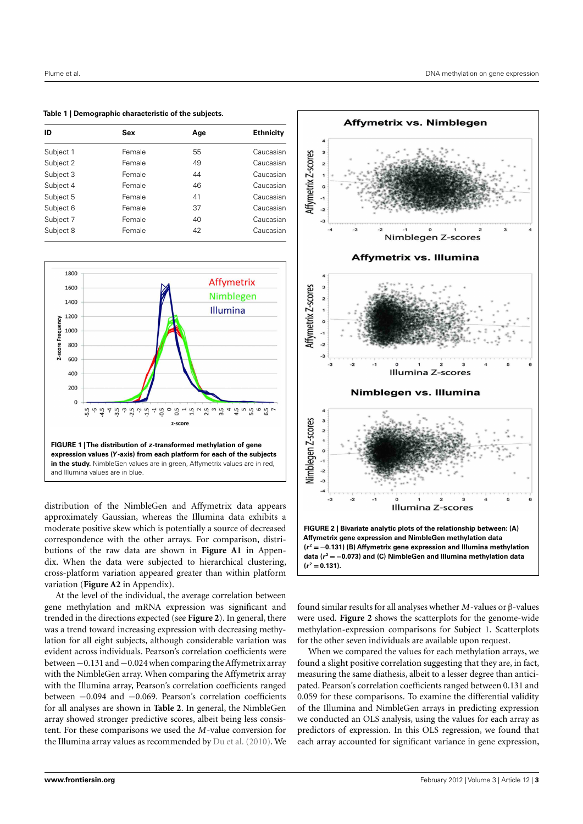<span id="page-2-0"></span>**Table 1 | Demographic characteristic of the subjects.**

| ID        | Sex    | Age | <b>Ethnicity</b> |
|-----------|--------|-----|------------------|
| Subject 1 | Female | 55  | Caucasian        |
| Subject 2 | Female | 49  | Caucasian        |
| Subject 3 | Female | 44  | Caucasian        |
| Subject 4 | Female | 46  | Caucasian        |
| Subject 5 | Female | 41  | Caucasian        |
| Subject 6 | Female | 37  | Caucasian        |
| Subject 7 | Female | 40  | Caucasian        |
| Subject 8 | Female | 42  | Caucasian        |



distribution of the NimbleGen and Affymetrix data appears approximately Gaussian, whereas the Illumina data exhibits a moderate positive skew which is potentially a source of decreased correspondence with the other arrays. For comparison, distributions of the raw data are shown in **[Figure A1](#page-7-0)** in Appendix. When the data were subjected to hierarchical clustering, cross-platform variation appeared greater than within platform variation (**[Figure A2](#page-8-0)** in Appendix).

At the level of the individual, the average correlation between gene methylation and mRNA expression was significant and trended in the directions expected (see **Figure 2**). In general, there was a trend toward increasing expression with decreasing methylation for all eight subjects, although considerable variation was evident across individuals. Pearson's correlation coefficients were between−0.131 and−0.024 when comparing theAffymetrix array with the NimbleGen array. When comparing the Affymetrix array with the Illumina array, Pearson's correlation coefficients ranged between −0.094 and −0.069. Pearson's correlation coefficients for all analyses are shown in **[Table 2](#page-3-0)**. In general, the NimbleGen array showed stronger predictive scores, albeit being less consistent. For these comparisons we used the *M*-value conversion for the Illumina array values as recommended by [Du et al.](#page-5-0) [\(2010](#page-5-0)). We



found similar results for all analyses whether *M*-values or β-values were used. **Figure 2** shows the scatterplots for the genome-wide methylation-expression comparisons for Subject 1. Scatterplots for the other seven individuals are available upon request.

When we compared the values for each methylation arrays, we found a slight positive correlation suggesting that they are, in fact, measuring the same diathesis, albeit to a lesser degree than anticipated. Pearson's correlation coefficients ranged between 0.131 and 0.059 for these comparisons. To examine the differential validity of the Illumina and NimbleGen arrays in predicting expression we conducted an OLS analysis, using the values for each array as predictors of expression. In this OLS regression, we found that each array accounted for significant variance in gene expression,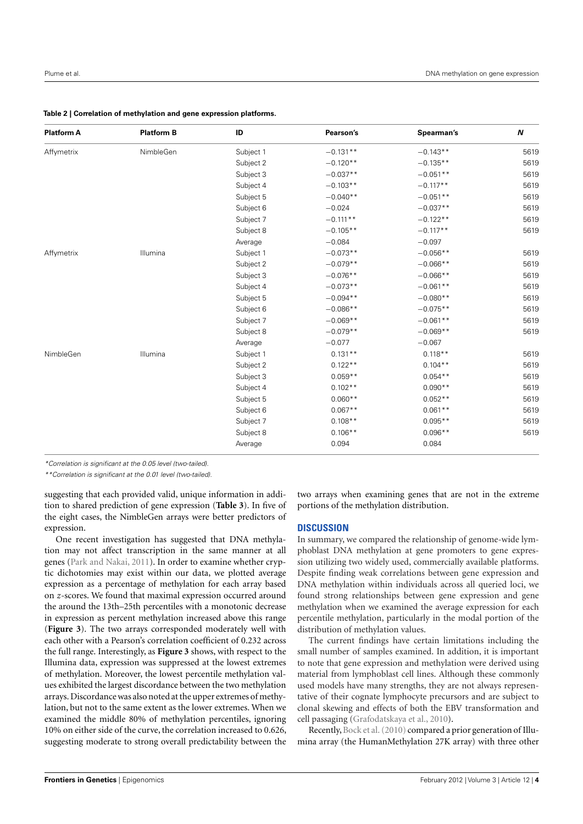## <span id="page-3-0"></span>**Table 2 | Correlation of methylation and gene expression platforms.**

| <b>Platform A</b> | <b>Platform B</b> | ID        | Pearson's            | Spearman's | N    |
|-------------------|-------------------|-----------|----------------------|------------|------|
| Affymetrix        | NimbleGen         | Subject 1 | $-0.131**$           | $-0.143**$ | 5619 |
|                   |                   | Subject 2 | $-0.120**$           | $-0.135**$ | 5619 |
|                   |                   | Subject 3 | $-0.037**$           | $-0.051**$ | 5619 |
|                   |                   | Subject 4 | $-0.103**$           | $-0.117**$ | 5619 |
|                   |                   | Subject 5 | $-0.040**$           | $-0.051**$ | 5619 |
|                   |                   | Subject 6 | $-0.024$             | $-0.037**$ | 5619 |
|                   |                   | Subject 7 | $-0.111**$           | $-0.122**$ | 5619 |
|                   |                   | Subject 8 | $-0.105**$           | $-0.117**$ | 5619 |
|                   |                   | Average   | $-0.084$             | $-0.097$   |      |
| Affymetrix        | Illumina          | Subject 1 | $-0.073**$           | $-0.056**$ | 5619 |
|                   |                   | Subject 2 | $-0.079**$           | $-0.066**$ | 5619 |
|                   |                   | Subject 3 | $-0.076**$           | $-0.066**$ | 5619 |
|                   |                   | Subject 4 | $-0.073**$           | $-0.061**$ | 5619 |
|                   |                   | Subject 5 | $-0.094**$           | $-0.080**$ | 5619 |
|                   |                   | Subject 6 | $-0.086**$           | $-0.075**$ | 5619 |
|                   |                   | Subject 7 | $-0.069**$           | $-0.061**$ | 5619 |
|                   |                   | Subject 8 | $-0.079**$           | $-0.069**$ | 5619 |
|                   |                   | Average   | $-0.077$<br>$-0.067$ |            |      |
| NimbleGen         | Illumina          | Subject 1 | $0.131**$            | $0.118**$  | 5619 |
|                   |                   | Subject 2 | $0.122**$            | $0.104**$  | 5619 |
|                   |                   | Subject 3 | $0.059**$            | $0.054**$  | 5619 |
|                   |                   | Subject 4 | $0.102**$            | $0.090**$  | 5619 |
|                   |                   | Subject 5 | $0.060**$            | $0.052**$  | 5619 |
|                   |                   | Subject 6 | $0.067**$            | $0.061**$  | 5619 |
|                   |                   | Subject 7 | $0.108**$            | $0.095**$  | 5619 |
|                   |                   | Subject 8 | $0.106**$            | $0.096**$  | 5619 |
|                   |                   | Average   | 0.094                | 0.084      |      |
|                   |                   |           |                      |            |      |

\*Correlation is significant at the 0.05 level (two-tailed).

\*\*Correlation is significant at the 0.01 level (two-tailed).

suggesting that each provided valid, unique information in addition to shared prediction of gene expression (**[Table 3](#page-4-0)**). In five of the eight cases, the NimbleGen arrays were better predictors of expression.

One recent investigation has suggested that DNA methylation may not affect transcription in the same manner at all genes [\(Park and Nakai](#page-6-0), [2011\)](#page-6-0). In order to examine whether cryptic dichotomies may exist within our data, we plotted average expression as a percentage of methylation for each array based on *z*-scores. We found that maximal expression occurred around the around the 13th–25th percentiles with a monotonic decrease in expression as percent methylation increased above this range (**[Figure 3](#page-4-0)**). The two arrays corresponded moderately well with each other with a Pearson's correlation coefficient of 0.232 across the full range. Interestingly, as **[Figure 3](#page-4-0)** shows, with respect to the Illumina data, expression was suppressed at the lowest extremes of methylation. Moreover, the lowest percentile methylation values exhibited the largest discordance between the two methylation arrays. Discordance was also noted at the upper extremes of methylation, but not to the same extent as the lower extremes. When we examined the middle 80% of methylation percentiles, ignoring 10% on either side of the curve, the correlation increased to 0.626, suggesting moderate to strong overall predictability between the

two arrays when examining genes that are not in the extreme portions of the methylation distribution.

## **DISCUSSION**

In summary, we compared the relationship of genome-wide lymphoblast DNA methylation at gene promoters to gene expression utilizing two widely used, commercially available platforms. Despite finding weak correlations between gene expression and DNA methylation within individuals across all queried loci, we found strong relationships between gene expression and gene methylation when we examined the average expression for each percentile methylation, particularly in the modal portion of the distribution of methylation values.

The current findings have certain limitations including the small number of samples examined. In addition, it is important to note that gene expression and methylation were derived using material from lymphoblast cell lines. Although these commonly used models have many strengths, they are not always representative of their cognate lymphocyte precursors and are subject to clonal skewing and effects of both the EBV transformation and cell passaging [\(Grafodatskaya et al., 2010\)](#page-6-0).

Recently, [Bock et al.](#page-5-0) [\(2010\)](#page-5-0) compared a prior generation of Illumina array (the HumanMethylation 27K array) with three other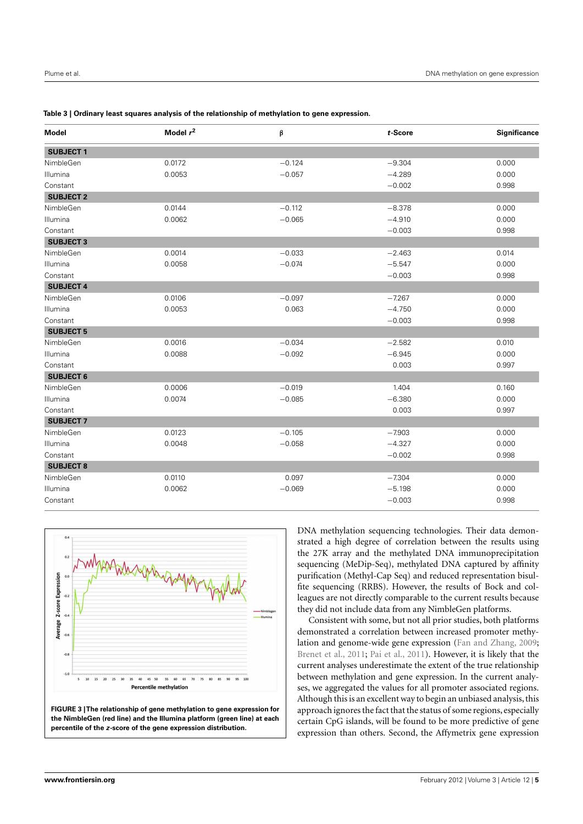<span id="page-4-0"></span>

| Table 3   Ordinary least squares analysis of the relationship of methylation to gene expression. |  |  |
|--------------------------------------------------------------------------------------------------|--|--|
|                                                                                                  |  |  |

| <b>Model</b>     | Model $r^2$ | β        | t-Score  | Significance |
|------------------|-------------|----------|----------|--------------|
| <b>SUBJECT1</b>  |             |          |          |              |
| NimbleGen        | 0.0172      | $-0.124$ | $-9.304$ | 0.000        |
| Illumina         | 0.0053      | $-0.057$ | $-4.289$ | 0.000        |
| Constant         |             |          | $-0.002$ | 0.998        |
| <b>SUBJECT 2</b> |             |          |          |              |
| NimbleGen        | 0.0144      | $-0.112$ | $-8.378$ | 0.000        |
| Illumina         | 0.0062      | $-0.065$ | $-4.910$ | 0.000        |
| Constant         |             |          | $-0.003$ | 0.998        |
| <b>SUBJECT 3</b> |             |          |          |              |
| NimbleGen        | 0.0014      | $-0.033$ | $-2.463$ | 0.014        |
| Illumina         | 0.0058      | $-0.074$ | $-5.547$ | 0.000        |
| Constant         |             |          | $-0.003$ | 0.998        |
| <b>SUBJECT 4</b> |             |          |          |              |
| NimbleGen        | 0.0106      | $-0.097$ | $-7.267$ | 0.000        |
| Illumina         | 0.0053      | 0.063    | $-4.750$ | 0.000        |
| Constant         |             |          | $-0.003$ | 0.998        |
| <b>SUBJECT 5</b> |             |          |          |              |
| NimbleGen        | 0.0016      | $-0.034$ | $-2.582$ | 0.010        |
| Illumina         | 0.0088      | $-0.092$ | $-6.945$ | 0.000        |
| Constant         |             |          | 0.003    | 0.997        |
| <b>SUBJECT 6</b> |             |          |          |              |
| NimbleGen        | 0.0006      | $-0.019$ | 1.404    | 0.160        |
| Illumina         | 0.0074      | $-0.085$ | $-6.380$ | 0.000        |
| Constant         |             |          | 0.003    | 0.997        |
| <b>SUBJECT 7</b> |             |          |          |              |
| NimbleGen        | 0.0123      | $-0.105$ | $-7.903$ | 0.000        |
| Illumina         | 0.0048      | $-0.058$ | $-4.327$ | 0.000        |
| Constant         |             |          | $-0.002$ | 0.998        |
| <b>SUBJECT 8</b> |             |          |          |              |
| NimbleGen        | 0.0110      | 0.097    | $-7.304$ | 0.000        |
| Illumina         | 0.0062      | $-0.069$ | $-5.198$ | 0.000        |
| Constant         |             |          | $-0.003$ | 0.998        |



DNA methylation sequencing technologies. Their data demonstrated a high degree of correlation between the results using the 27K array and the methylated DNA immunoprecipitation sequencing (MeDip-Seq), methylated DNA captured by affinity purification (Methyl-Cap Seq) and reduced representation bisulfite sequencing (RRBS). However, the results of Bock and colleagues are not directly comparable to the current results because they did not include data from any NimbleGen platforms.

Consistent with some, but not all prior studies, both platforms demonstrated a correlation between increased promoter methylation and genome-wide gene expression [\(Fan and Zhang, 2009;](#page-5-0) [Brenet et al., 2011;](#page-5-0) [Pai et al., 2011\)](#page-6-0). However, it is likely that the current analyses underestimate the extent of the true relationship between methylation and gene expression. In the current analyses, we aggregated the values for all promoter associated regions. Although this is an excellent way to begin an unbiased analysis, this approach ignores the fact that the status of some regions, especially certain CpG islands, will be found to be more predictive of gene expression than others. Second, the Affymetrix gene expression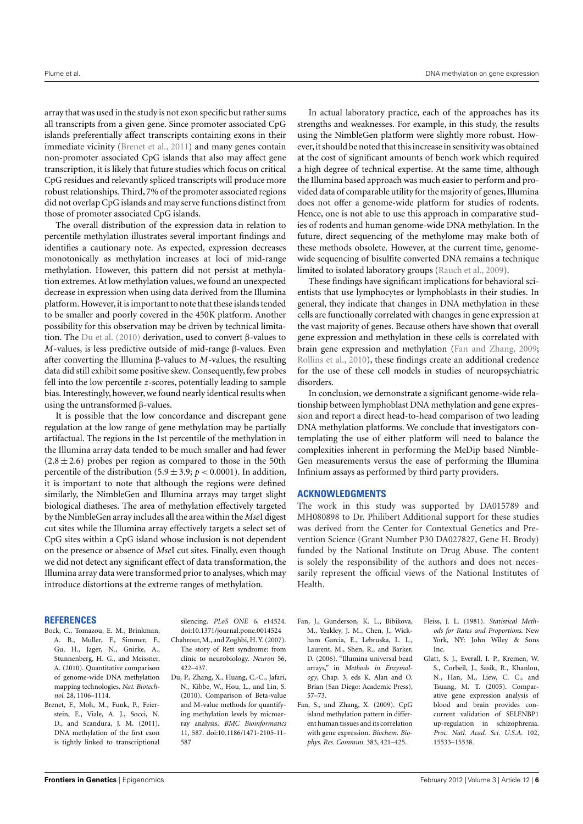<span id="page-5-0"></span>array that was used in the study is not exon specific but rather sums all transcripts from a given gene. Since promoter associated CpG islands preferentially affect transcripts containing exons in their immediate vicinity (Brenet et al., 2011) and many genes contain non-promoter associated CpG islands that also may affect gene transcription, it is likely that future studies which focus on critical CpG residues and relevantly spliced transcripts will produce more robust relationships. Third, 7% of the promoter associated regions did not overlap CpG islands and may serve functions distinct from those of promoter associated CpG islands.

The overall distribution of the expression data in relation to percentile methylation illustrates several important findings and identifies a cautionary note. As expected, expression decreases monotonically as methylation increases at loci of mid-range methylation. However, this pattern did not persist at methylation extremes. At low methylation values, we found an unexpected decrease in expression when using data derived from the Illumina platform. However, it is important to note that these islands tended to be smaller and poorly covered in the 450K platform. Another possibility for this observation may be driven by technical limitation. The Du et al. (2010) derivation, used to convert β-values to *M*-values, is less predictive outside of mid-range β-values. Even after converting the Illumina β-values to *M*-values, the resulting data did still exhibit some positive skew. Consequently, few probes fell into the low percentile *z*-scores, potentially leading to sample bias. Interestingly, however, we found nearly identical results when using the untransformed β-values.

It is possible that the low concordance and discrepant gene regulation at the low range of gene methylation may be partially artifactual. The regions in the 1st percentile of the methylation in the Illumina array data tended to be much smaller and had fewer  $(2.8 \pm 2.6)$  probes per region as compared to those in the 50th percentile of the distribution (5.9  $\pm$  3.9;  $p < 0.0001$ ). In addition, it is important to note that although the regions were defined similarly, the NimbleGen and Illumina arrays may target slight biological diatheses. The area of methylation effectively targeted by the NimbleGen array includes all the area within the *Mse*I digest cut sites while the Illumina array effectively targets a select set of CpG sites within a CpG island whose inclusion is not dependent on the presence or absence of *Mse*I cut sites. Finally, even though we did not detect any significant effect of data transformation, the Illumina array data were transformed prior to analyses, which may introduce distortions at the extreme ranges of methylation.

#### **REFERENCES**

- Bock, C., Tomazou, E. M., Brinkman, A. B., Muller, F., Simmer, F., Gu, H., Jager, N., Gnirke, A., Stunnenberg, H. G., and Meissner, A. (2010). Quantitative comparison of genome-wide DNA methylation mapping technologies. *Nat. Biotechnol.* 28, 1106–1114.
- Brenet, F., Moh, M., Funk, P., Feierstein, E., Viale, A. J., Socci, N. D., and Scandura, J. M. (2011). DNA methylation of the first exon is tightly linked to transcriptional

silencing. *PLoS ONE* 6, e14524. doi[:10.1371/journal.pone.0014524](http://dx.doi.org/10.1371/journal.pone.0014524)

- Chahrour, M., and Zoghbi, H. Y. (2007). The story of Rett syndrome: from clinic to neurobiology. *Neuron* 56, 422–437.
- Du, P., Zhang, X., Huang, C.-C., Jafari, N., Kibbe, W., Hou, L., and Lin, S. (2010). Comparison of Beta-value and M-value methods for quantifying methylation levels by microarray analysis. *BMC Bioinformatics* 11, [587.](http://dx.doi.org/10.1186/1471-2105-11-{\penalty -\@M }587) [doi:](http://dx.doi.org/10.1186/1471-2105-11-{\penalty -\@M }587)10.1186/1471-2105-11- 587

In actual laboratory practice, each of the approaches has its strengths and weaknesses. For example, in this study, the results using the NimbleGen platform were slightly more robust. However, it should be noted that this increase in sensitivity was obtained at the cost of significant amounts of bench work which required a high degree of technical expertise. At the same time, although the Illumina based approach was much easier to perform and provided data of comparable utility for the majority of genes, Illumina does not offer a genome-wide platform for studies of rodents. Hence, one is not able to use this approach in comparative studies of rodents and human genome-wide DNA methylation. In the future, direct sequencing of the methylome may make both of these methods obsolete. However, at the current time, genomewide sequencing of bisulfite converted DNA remains a technique limited to isolated laboratory groups [\(Rauch et al.](#page-6-0), [2009\)](#page-6-0).

These findings have significant implications for behavioral scientists that use lymphocytes or lymphoblasts in their studies. In general, they indicate that changes in DNA methylation in these cells are functionally correlated with changes in gene expression at the vast majority of genes. Because others have shown that overall gene expression and methylation in these cells is correlated with brain gene expression and methylation (Fan and Zhang, 2009; [Rollins et al.](#page-6-0), [2010](#page-6-0)), these findings create an additional credence for the use of these cell models in studies of neuropsychiatric disorders.

In conclusion, we demonstrate a significant genome-wide relationship between lymphoblast DNA methylation and gene expression and report a direct head-to-head comparison of two leading DNA methylation platforms. We conclude that investigators contemplating the use of either platform will need to balance the complexities inherent in performing the MeDip based Nimble-Gen measurements versus the ease of performing the Illumina Infinium assays as performed by third party providers.

### **ACKNOWLEDGMENTS**

The work in this study was supported by DA015789 and MH080898 to Dr. Philibert Additional support for these studies was derived from the Center for Contextual Genetics and Prevention Science (Grant Number P30 DA027827, Gene H. Brody) funded by the National Institute on Drug Abuse. The content is solely the responsibility of the authors and does not necessarily represent the official views of the National Institutes of Health.

- Fan, J., Gunderson, K. L., Bibikova, M., Yeakley, J. M., Chen, J., Wickham Garcia, E., Lebruska, L. L., Laurent, M., Shen, R., and Barker, D. (2006). "Illumina universal bead arrays," in *Methods in Enzymology*, Chap. 3, eds K. Alan and O. Brian (San Diego: Academic Press), 57–73.
- Fan, S., and Zhang, X. (2009). CpG island methylation pattern in different human tissues and its correlation with gene expression. *Biochem. Biophys. Res. Commun.* 383, 421–425.
- Fleiss, J. L. (1981). *Statistical Methods for Rates and Proportions*. New York, NY: John Wiley & Sons Inc.
- Glatt, S. J., Everall, I. P., Kremen, W. S., Corbeil, J., Sasik, R., Khanlou, N., Han, M., Liew, C. C., and Tsuang, M. T. (2005). Comparative gene expression analysis of blood and brain provides concurrent validation of SELENBP1 up-regulation in schizophrenia. *Proc. Natl. Acad. Sci. U.S.A.* 102, 15533–15538.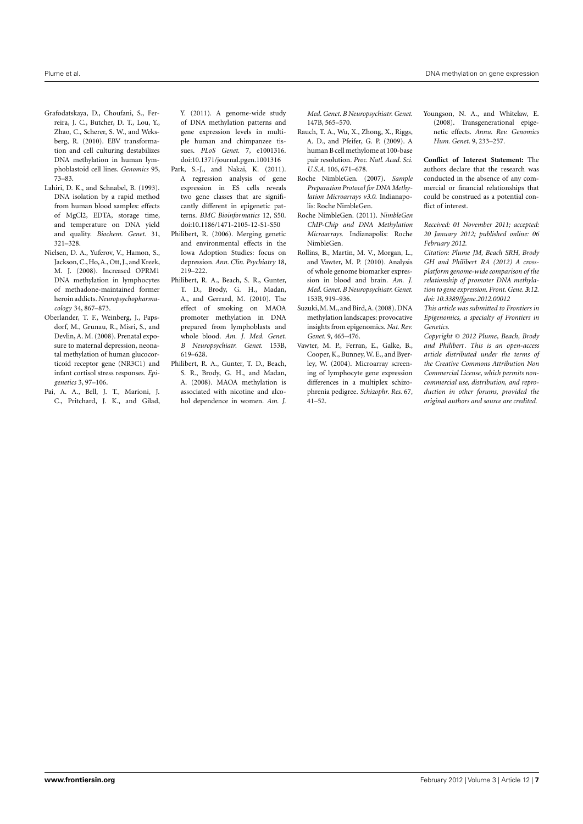- <span id="page-6-0"></span>Grafodatskaya, D., Choufani, S., Ferreira, J. C., Butcher, D. T., Lou, Y., Zhao, C., Scherer, S. W., and Weksberg, R. (2010). EBV transformation and cell culturing destabilizes DNA methylation in human lymphoblastoid cell lines. *Genomics* 95, 73–83.
- Lahiri, D. K., and Schnabel, B. (1993). DNA isolation by a rapid method from human blood samples: effects of MgCl2, EDTA, storage time, and temperature on DNA yield and quality. *Biochem. Genet.* 31, 321–328.
- Nielsen, D. A., Yuferov, V., Hamon, S., Jackson,C., Ho,A., Ott, J., and Kreek, M. J. (2008). Increased OPRM1 DNA methylation in lymphocytes of methadone-maintained former heroin addicts.*Neuropsychopharmacology* 34, 867–873.
- Oberlander, T. F., Weinberg, J., Papsdorf, M., Grunau, R., Misri, S., and Devlin, A. M. (2008). Prenatal exposure to maternal depression, neonatal methylation of human glucocorticoid receptor gene (NR3C1) and infant cortisol stress responses. *Epigenetics* 3, 97–106.
- Pai, A. A., Bell, J. T., Marioni, J. C., Pritchard, J. K., and Gilad,

Y. (2011). A genome-wide study of DNA methylation patterns and gene expression levels in multiple human and chimpanzee tissues. *PLoS Genet.* 7, e1001316. doi[:10.1371/journal.pgen.1001316](http://dx.doi.org/10.1371/journal.pgen.1001316)

Park, S.-J., and Nakai, K. (2011). A regression analysis of gene expression in ES cells reveals two gene classes that are significantly different in epigenetic patterns. *BMC Bioinformatics* 12, S50. doi[:10.1186/1471-2105-12-S1-S50](http://dx.doi.org/10.1186/1471-2105-12-S1-S50)

- Philibert, R. (2006). Merging genetic and environmental effects in the Iowa Adoption Studies: focus on depression. *Ann. Clin. Psychiatry* 18, 219–222.
- Philibert, R. A., Beach, S. R., Gunter, T. D., Brody, G. H., Madan, A., and Gerrard, M. (2010). The effect of smoking on MAOA promoter methylation in DNA prepared from lymphoblasts and whole blood. *Am. J. Med. Genet. B Neuropsychiatr. Genet.* 153B, 619–628.
- Philibert, R. A., Gunter, T. D., Beach, S. R., Brody, G. H., and Madan, A. (2008). MAOA methylation is associated with nicotine and alcohol dependence in women. *Am. J.*

*Med. Genet. B Neuropsychiatr. Genet.* 147B, 565–570.

- Rauch, T. A., Wu, X., Zhong, X., Riggs, A. D., and Pfeifer, G. P. (2009). A human B cell methylome at 100-base pair resolution. *Proc. Natl. Acad. Sci. U.S.A.* 106, 671–678.
- Roche NimbleGen. (2007). *Sample Preparation Protocol for DNA Methylation Microarrays v3.0*. Indianapolis: Roche NimbleGen.
- Roche NimbleGen. (2011). *NimbleGen ChIP-Chip and DNA Methylation Microarrays*. Indianapolis: Roche NimbleGen.
- Rollins, B., Martin, M. V., Morgan, L., and Vawter, M. P. (2010). Analysis of whole genome biomarker expression in blood and brain. *Am. J. Med. Genet. B Neuropsychiatr. Genet.* 153B, 919–936.
- Suzuki,M.M., and Bird,A. (2008). DNA methylation landscapes: provocative insights from epigenomics. *Nat. Rev. Genet.* 9, 465–476.
- Vawter, M. P., Ferran, E., Galke, B., Cooper, K., Bunney,W. E., and Byerley, W. (2004). Microarray screening of lymphocyte gene expression differences in a multiplex schizophrenia pedigree. *Schizophr. Res.* 67, 41–52.

Youngson, N. A., and Whitelaw, E. (2008). Transgenerational epigenetic effects. *Annu. Rev. Genomics Hum. Genet.* 9, 233–257.

**Conflict of Interest Statement:** The authors declare that the research was conducted in the absence of any commercial or financial relationships that could be construed as a potential conflict of interest.

*Received: 01 November 2011; accepted: 20 January 2012; published online: 06 February 2012.*

*Citation: Plume JM, Beach SRH, Brody GH and Philibert RA (2012) A crossplatform genome-wide comparison of the relationship of promoter DNA methylation to gene expression. Front. Gene. 3:12. doi: [10.3389/fgene.2012.00012](http://dx.doi.org/10.3389/fgene.2012.00012)*

*This article was submitted to Frontiers in Epigenomics, a specialty of Frontiers in Genetics.*

*Copyright © 2012 Plume, Beach, Brody and Philibert. This is an open-access article distributed under the terms of the [Creative Commons Attribution Non](http://creativecommons.org/licenses/by-nc/3.0/) [Commercial License,](http://creativecommons.org/licenses/by-nc/3.0/) which permits noncommercial use, distribution, and reproduction in other forums, provided the original authors and source are credited.*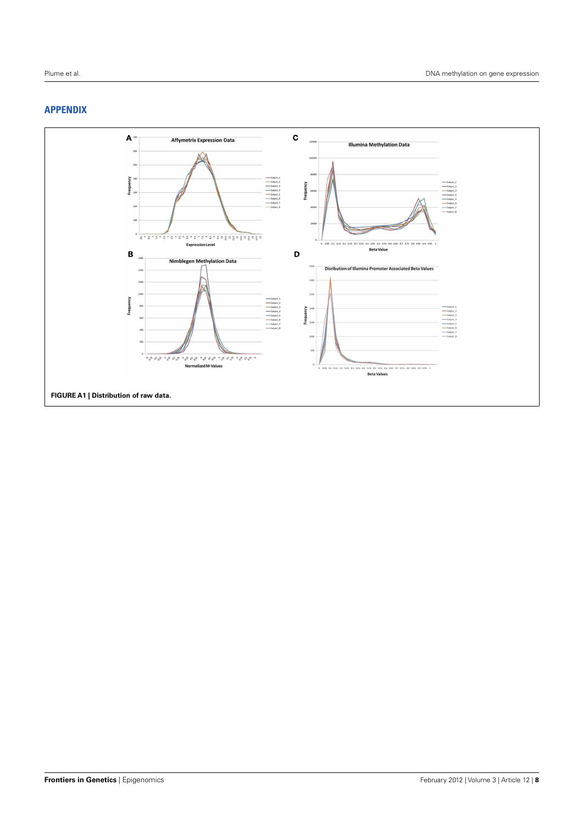# <span id="page-7-0"></span>**APPENDIX**

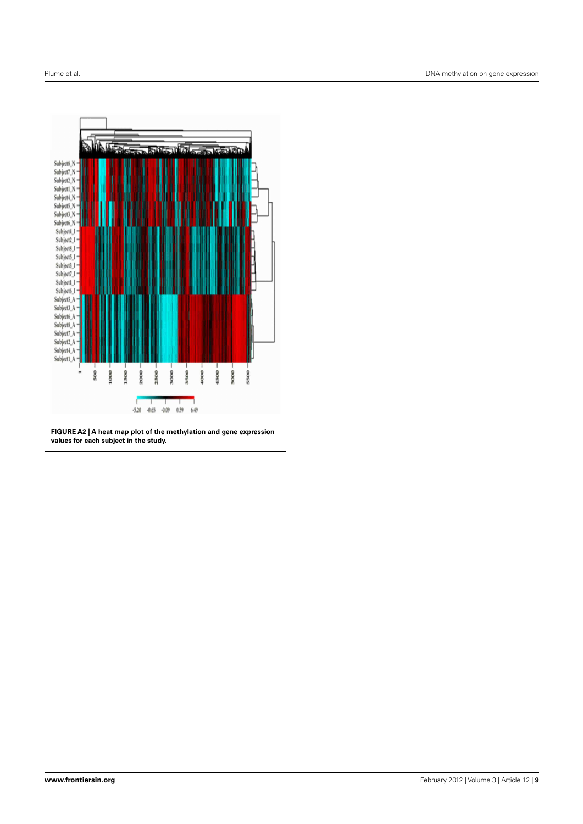<span id="page-8-0"></span>